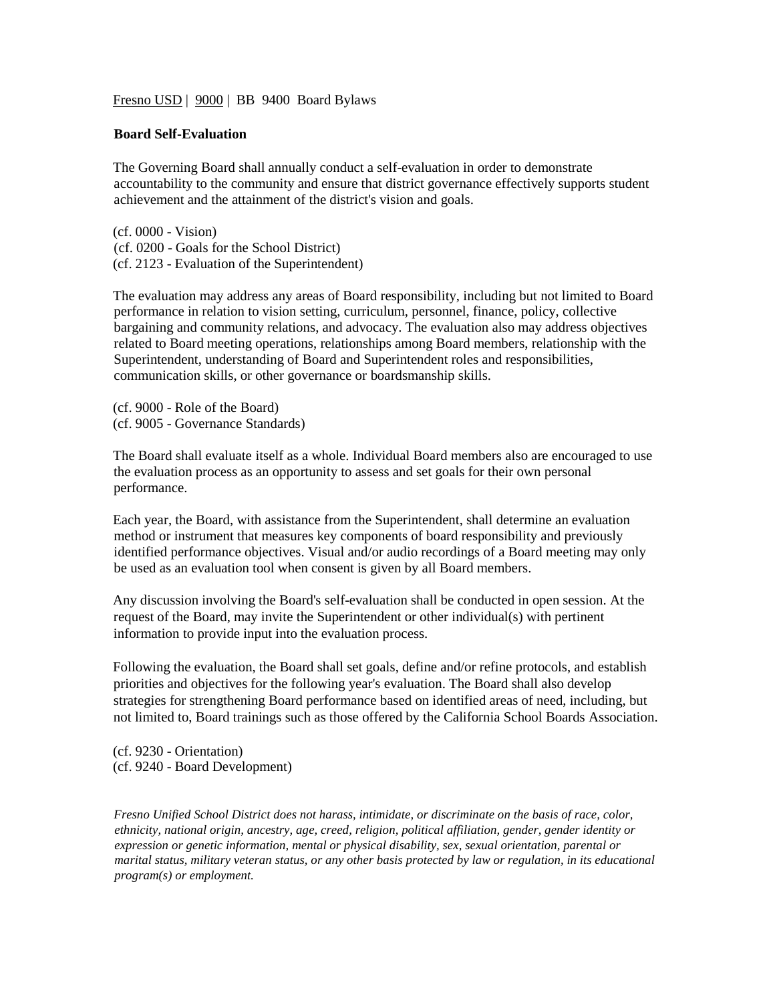Fresno USD | 9000 | BB 9400 Board Bylaws

## **Board Self-Evaluation**

The Governing Board shall annually conduct a self-evaluation in order to demonstrate accountability to the community and ensure that district governance effectively supports student achievement and the attainment of the district's vision and goals.

(cf. 0000 - Vision) (cf. 0200 - Goals for the School District) (cf. 2123 - Evaluation of the Superintendent)

The evaluation may address any areas of Board responsibility, including but not limited to Board performance in relation to vision setting, curriculum, personnel, finance, policy, collective bargaining and community relations, and advocacy. The evaluation also may address objectives related to Board meeting operations, relationships among Board members, relationship with the Superintendent, understanding of Board and Superintendent roles and responsibilities, communication skills, or other governance or boardsmanship skills.

(cf. 9000 - Role of the Board) (cf. 9005 - Governance Standards)

The Board shall evaluate itself as a whole. Individual Board members also are encouraged to use the evaluation process as an opportunity to assess and set goals for their own personal performance.

Each year, the Board, with assistance from the Superintendent, shall determine an evaluation method or instrument that measures key components of board responsibility and previously identified performance objectives. Visual and/or audio recordings of a Board meeting may only be used as an evaluation tool when consent is given by all Board members.

Any discussion involving the Board's self-evaluation shall be conducted in open session. At the request of the Board, may invite the Superintendent or other individual(s) with pertinent information to provide input into the evaluation process.

Following the evaluation, the Board shall set goals, define and/or refine protocols, and establish priorities and objectives for the following year's evaluation. The Board shall also develop strategies for strengthening Board performance based on identified areas of need, including, but not limited to, Board trainings such as those offered by the California School Boards Association.

(cf. 9230 - Orientation) (cf. 9240 - Board Development)

*Fresno Unified School District does not harass, intimidate, or discriminate on the basis of race, color, ethnicity, national origin, ancestry, age, creed, religion, political affiliation, gender, gender identity or expression or genetic information, mental or physical disability, sex, sexual orientation, parental or marital status, military veteran status, or any other basis protected by law or regulation, in its educational program(s) or employment.*